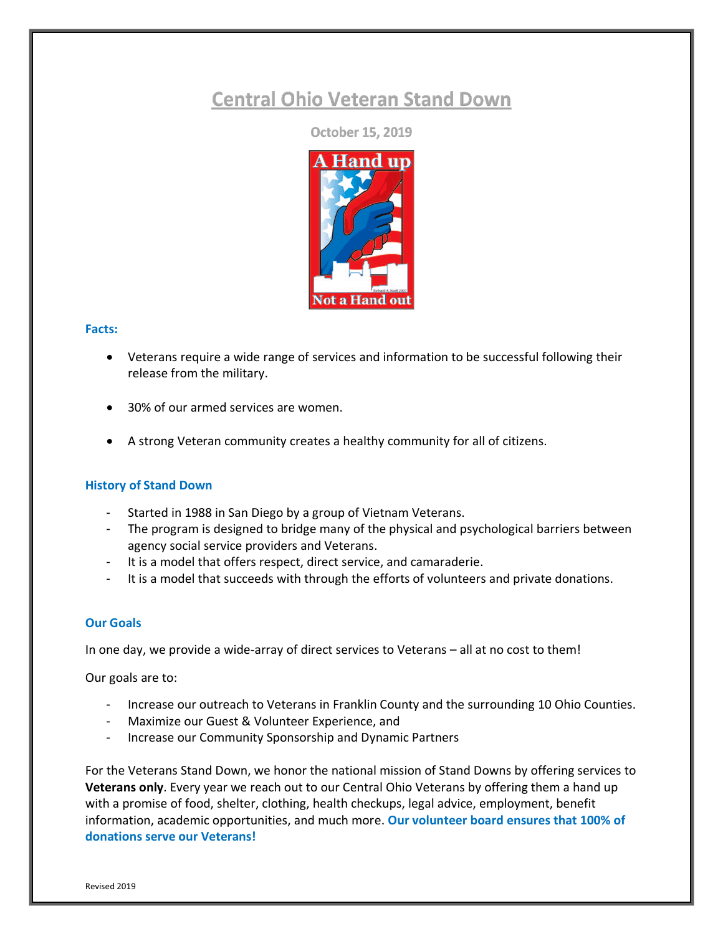# **Central Ohio Veteran Stand Down**

**October 15, 2019** 



### **Facts:**

- Veterans require a wide range of services and information to be successful following their release from the military.
- 30% of our armed services are women.
- A strong Veteran community creates a healthy community for all of citizens.

## **History of Stand Down**

- Started in 1988 in San Diego by a group of Vietnam Veterans.
- The program is designed to bridge many of the physical and psychological barriers between agency social service providers and Veterans.
- It is a model that offers respect, direct service, and camaraderie.
- It is a model that succeeds with through the efforts of volunteers and private donations.

## **Our Goals**

In one day, we provide a wide-array of direct services to Veterans – all at no cost to them!

Our goals are to:

- Increase our outreach to Veterans in Franklin County and the surrounding 10 Ohio Counties.
- Maximize our Guest & Volunteer Experience, and
- Increase our Community Sponsorship and Dynamic Partners

For the Veterans Stand Down, we honor the national mission of Stand Downs by offering services to **Veterans only**. Every year we reach out to our Central Ohio Veterans by offering them a hand up with a promise of food, shelter, clothing, health checkups, legal advice, employment, benefit information, academic opportunities, and much more. **Our volunteer board ensures that 100% of donations serve our Veterans!**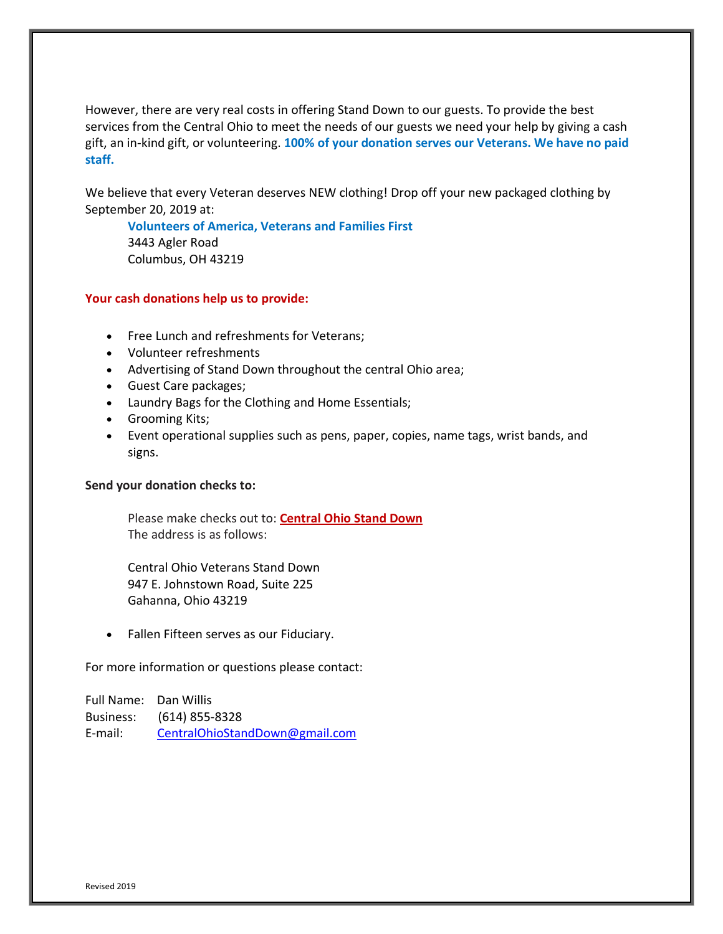However, there are very real costs in offering Stand Down to our guests. To provide the best services from the Central Ohio to meet the needs of our guests we need your help by giving a cash gift, an in-kind gift, or volunteering. **100% of your donation serves our Veterans. We have no paid staff.** 

We believe that every Veteran deserves NEW clothing! Drop off your new packaged clothing by September 20, 2019 at:

**Volunteers of America, Veterans and Families First** 3443 Agler Road Columbus, OH 43219

### **Your cash donations help us to provide:**

- Free Lunch and refreshments for Veterans;
- Volunteer refreshments
- Advertising of Stand Down throughout the central Ohio area;
- Guest Care packages;
- Laundry Bags for the Clothing and Home Essentials;
- Grooming Kits;
- Event operational supplies such as pens, paper, copies, name tags, wrist bands, and signs.

### **Send your donation checks to:**

Please make checks out to: **Central Ohio Stand Down** The address is as follows:

Central Ohio Veterans Stand Down 947 E. Johnstown Road, Suite 225 Gahanna, Ohio 43219

• Fallen Fifteen serves as our Fiduciary.

For more information or questions please contact:

Full Name: Dan Willis Business: (614) 855-8328 E-mail: CentralOhioStandDown@gmail.com